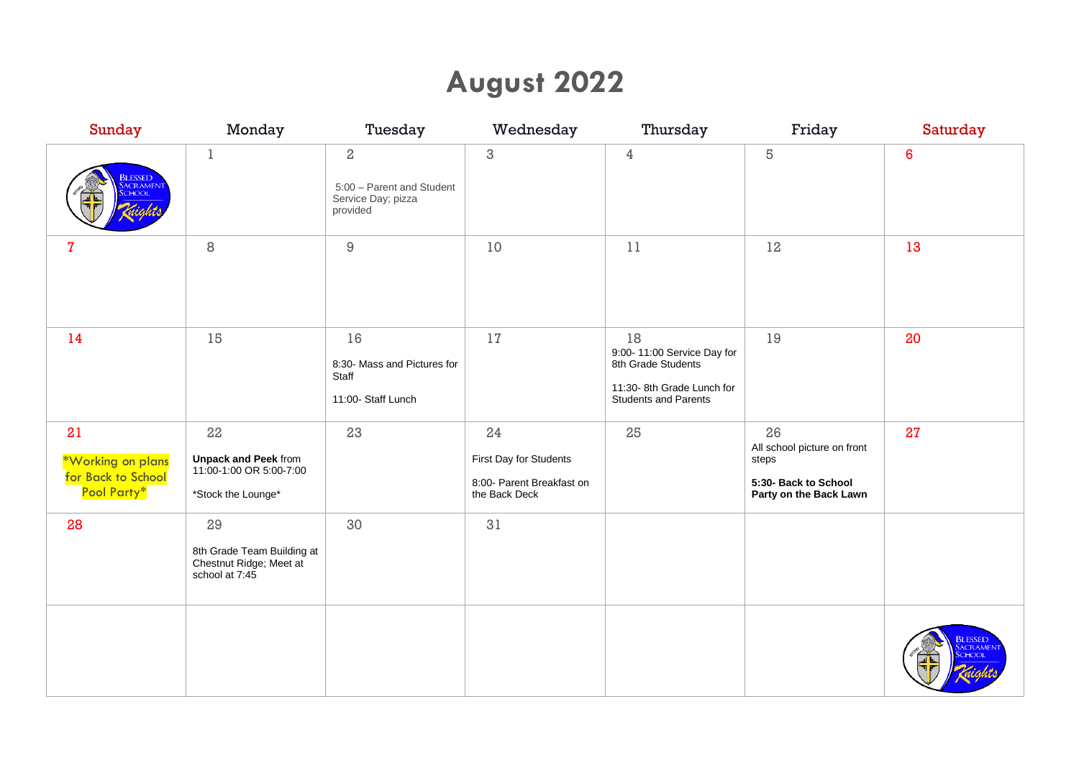# **August 2022**

| <b>Sunday</b>                                                | Monday                                                                              | Tuesday                                                              | Wednesday                                                                  | Thursday                                                                                                           | Friday                                                                                       | Saturday                        |
|--------------------------------------------------------------|-------------------------------------------------------------------------------------|----------------------------------------------------------------------|----------------------------------------------------------------------------|--------------------------------------------------------------------------------------------------------------------|----------------------------------------------------------------------------------------------|---------------------------------|
| <b>BLESSED</b><br><b>CRAMENT</b><br>CHOOL                    | $\mathbf 1$                                                                         | $\,2$<br>5:00 - Parent and Student<br>Service Day; pizza<br>provided | 3                                                                          | $\overline{4}$                                                                                                     | 5                                                                                            | $\boldsymbol{6}$                |
| 7                                                            | 8                                                                                   | $\hbox{9}$                                                           | 10                                                                         | 11                                                                                                                 | 12                                                                                           | 13                              |
| 14                                                           | 15                                                                                  | 16<br>8:30- Mass and Pictures for<br>Staff<br>11:00- Staff Lunch     | 17                                                                         | 18<br>9:00-11:00 Service Day for<br>8th Grade Students<br>11:30-8th Grade Lunch for<br><b>Students and Parents</b> | 19                                                                                           | 20                              |
| 21<br>*Working on plans<br>for Back to School<br>Pool Party* | 22<br><b>Unpack and Peek from<br/>11:00-1:00 OR 5:00-7:00</b><br>*Stock the Lounge* | 23                                                                   | 24<br>First Day for Students<br>8:00- Parent Breakfast on<br>the Back Deck | 25                                                                                                                 | 26<br>All school picture on front<br>steps<br>5:30- Back to School<br>Party on the Back Lawn | 27                              |
| 28                                                           | 29<br>8th Grade Team Building at<br>Chestnut Ridge; Meet at<br>school at 7:45       | 30                                                                   | 31                                                                         |                                                                                                                    |                                                                                              |                                 |
|                                                              |                                                                                     |                                                                      |                                                                            |                                                                                                                    |                                                                                              | <b>BLESSED</b><br><b>ACRAME</b> |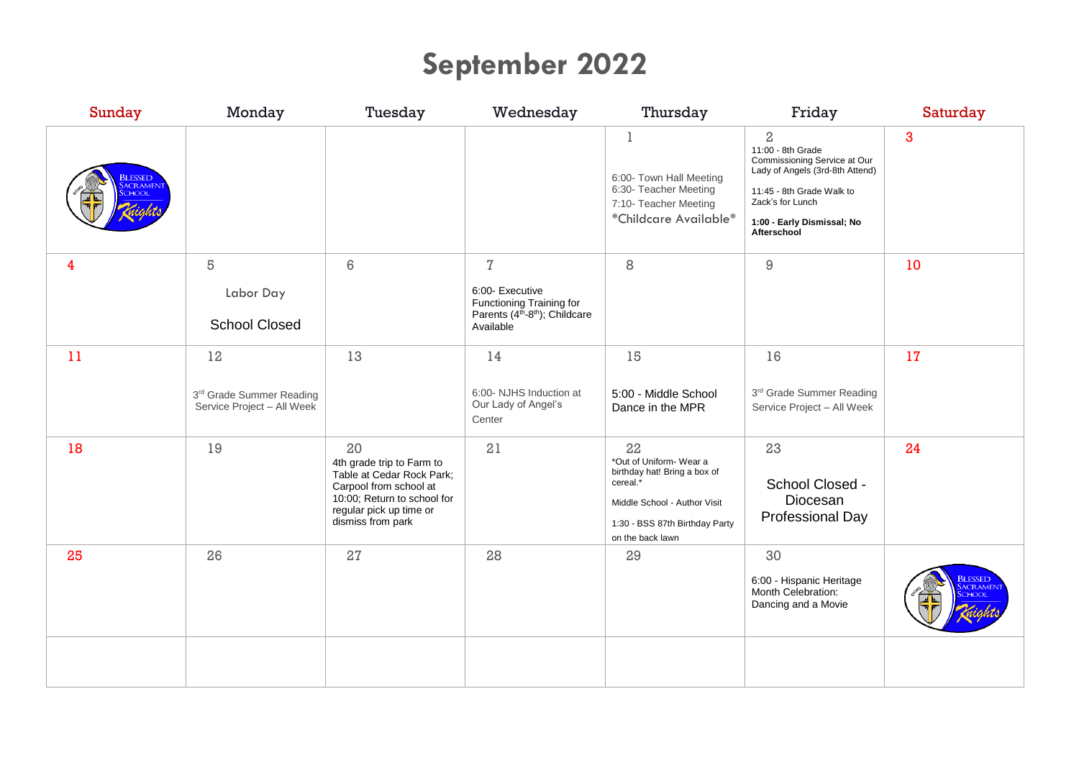# **September 2022**

| Sunday                                     | Monday                                                       | Tuesday                                                                                                                                                               | Wednesday                                                                                                                            | Thursday                                                                                                                                                       | Friday                                                                                                                                                                                               | Saturday       |
|--------------------------------------------|--------------------------------------------------------------|-----------------------------------------------------------------------------------------------------------------------------------------------------------------------|--------------------------------------------------------------------------------------------------------------------------------------|----------------------------------------------------------------------------------------------------------------------------------------------------------------|------------------------------------------------------------------------------------------------------------------------------------------------------------------------------------------------------|----------------|
| <mark>Blessed</mark><br>Sacrament<br>CHOOL |                                                              |                                                                                                                                                                       |                                                                                                                                      | 1<br>6:00- Town Hall Meeting<br>6:30- Teacher Meeting<br>7:10- Teacher Meeting<br>*Childcare Available*                                                        | $\overline{2}$<br>11:00 - 8th Grade<br>Commissioning Service at Our<br>Lady of Angels (3rd-8th Attend)<br>11:45 - 8th Grade Walk to<br>Zack's for Lunch<br>1:00 - Early Dismissal; No<br>Afterschool | 3              |
| 4                                          | 5<br>Labor Day<br><b>School Closed</b>                       | $6\,$                                                                                                                                                                 | $\overline{1}$<br>6:00- Executive<br>Functioning Training for<br>Parents (4 <sup>th</sup> -8 <sup>th</sup> ); Childcare<br>Available | 8                                                                                                                                                              | $\hbox{9}$                                                                                                                                                                                           | 10             |
| 11                                         | 12<br>3rd Grade Summer Reading<br>Service Project - All Week | 13                                                                                                                                                                    | 14<br>6:00- NJHS Induction at<br>Our Lady of Angel's<br>Center                                                                       | 15<br>5:00 - Middle School<br>Dance in the MPR                                                                                                                 | 16<br>3rd Grade Summer Reading<br>Service Project - All Week                                                                                                                                         | 17             |
| 18                                         | 19                                                           | 20<br>4th grade trip to Farm to<br>Table at Cedar Rock Park;<br>Carpool from school at<br>10:00; Return to school for<br>regular pick up time or<br>dismiss from park | 21                                                                                                                                   | 22<br>*Out of Uniform-Wear a<br>birthday hat! Bring a box of<br>cereal.*<br>Middle School - Author Visit<br>1:30 - BSS 87th Birthday Party<br>on the back lawn | 23<br>School Closed -<br>Diocesan<br>Professional Day                                                                                                                                                | 24             |
| 25                                         | 26                                                           | 27                                                                                                                                                                    | 28                                                                                                                                   | 29                                                                                                                                                             | 30<br>6:00 - Hispanic Heritage<br>Month Celebration:<br>Dancing and a Movie                                                                                                                          | <b>BLESSED</b> |
|                                            |                                                              |                                                                                                                                                                       |                                                                                                                                      |                                                                                                                                                                |                                                                                                                                                                                                      |                |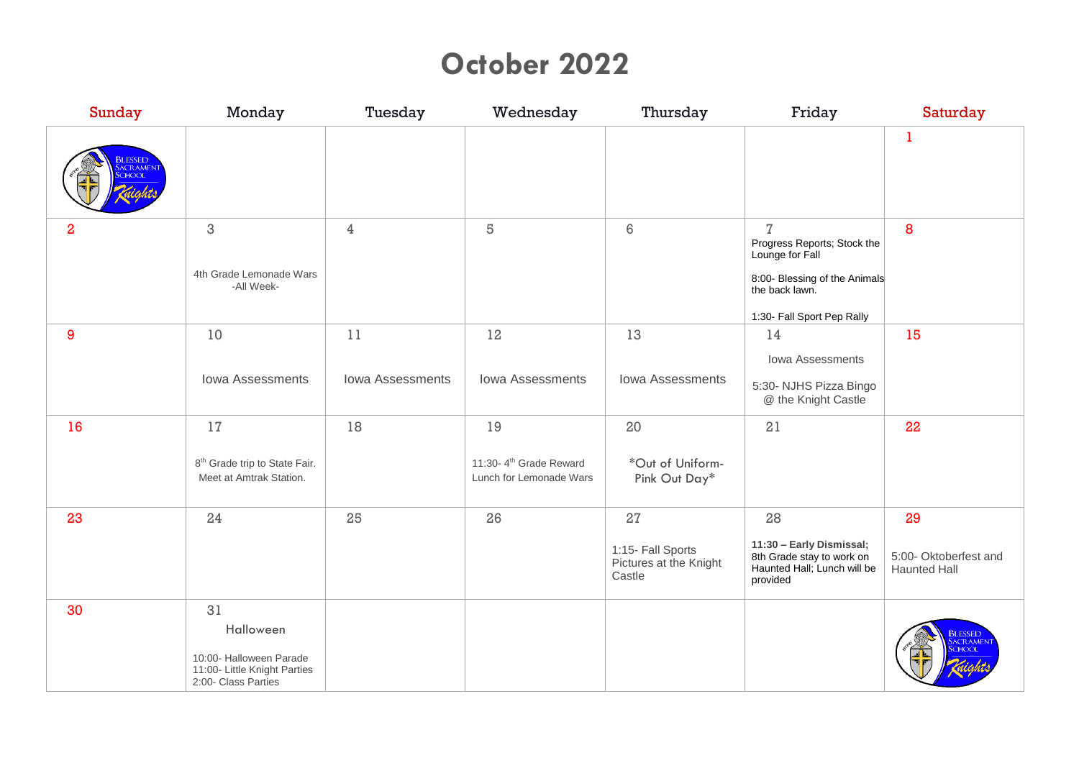### **October 2022**

| Sunday         | Monday                                                                                            | Tuesday                       | Wednesday                                                           | Thursday                                                    | Friday                                                                                                                                            | Saturday                                           |
|----------------|---------------------------------------------------------------------------------------------------|-------------------------------|---------------------------------------------------------------------|-------------------------------------------------------------|---------------------------------------------------------------------------------------------------------------------------------------------------|----------------------------------------------------|
| <b>BLESSED</b> |                                                                                                   |                               |                                                                     |                                                             |                                                                                                                                                   | 1                                                  |
| $\overline{a}$ | $\,3$<br>4th Grade Lemonade Wars<br>-All Week-                                                    | $\overline{4}$                | 5                                                                   | 6                                                           | $\overline{I}$<br>Progress Reports; Stock the<br>Lounge for Fall<br>8:00- Blessing of the Animals<br>the back lawn.<br>1:30- Fall Sport Pep Rally | 8                                                  |
| 9              | 10<br>Iowa Assessments                                                                            | 11<br><b>Iowa Assessments</b> | 12<br>Iowa Assessments                                              | 13<br><b>Iowa Assessments</b>                               | 14<br>Iowa Assessments<br>5:30- NJHS Pizza Bingo                                                                                                  | 15                                                 |
|                |                                                                                                   |                               |                                                                     |                                                             | @ the Knight Castle                                                                                                                               |                                                    |
| 16             | 17<br>8 <sup>th</sup> Grade trip to State Fair.<br>Meet at Amtrak Station.                        | 18                            | 19<br>11:30-4 <sup>th</sup> Grade Reward<br>Lunch for Lemonade Wars | 20<br>*Out of Uniform-<br>Pink Out Day*                     | 21                                                                                                                                                | 22                                                 |
| 23             | 24                                                                                                | 25                            | 26                                                                  | 27<br>1:15- Fall Sports<br>Pictures at the Knight<br>Castle | 28<br>11:30 - Early Dismissal;<br>8th Grade stay to work on<br>Haunted Hall; Lunch will be<br>provided                                            | 29<br>5:00- Oktoberfest and<br><b>Haunted Hall</b> |
| 30             | 31<br>Halloween<br>10:00- Halloween Parade<br>11:00- Little Knight Parties<br>2:00- Class Parties |                               |                                                                     |                                                             |                                                                                                                                                   | <b>BLESSED</b>                                     |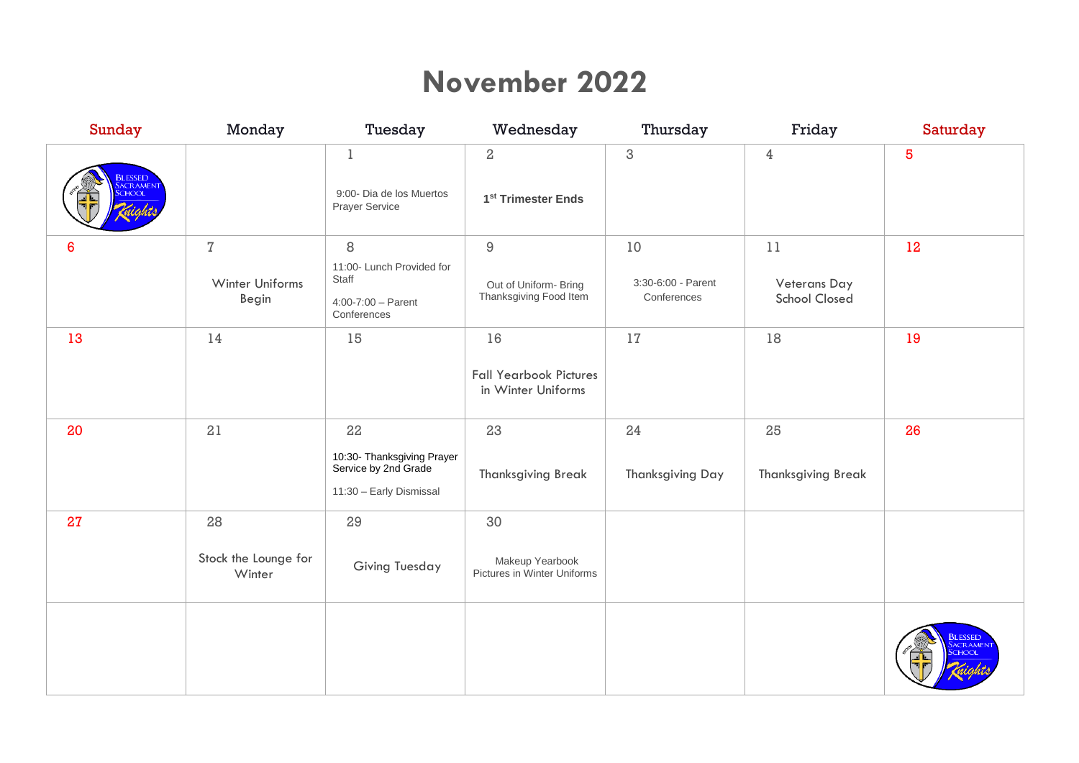### **November 2022**

| <b>Sunday</b>                    | Monday                                 | Tuesday                                                                             | Wednesday                                                     | Thursday                                | Friday                                     | Saturday                                  |
|----------------------------------|----------------------------------------|-------------------------------------------------------------------------------------|---------------------------------------------------------------|-----------------------------------------|--------------------------------------------|-------------------------------------------|
| <b>BLESSED</b><br><b>ACRAMEN</b> |                                        | $\mathbf 1$<br>9:00- Dia de los Muertos<br>Prayer Service                           | $\,2$<br>1 <sup>st</sup> Trimester Ends                       | $\ensuremath{\mathsf{3}}$               | $\overline{4}$                             | $\overline{\mathbf{5}}$                   |
| 6                                | $\sqrt{7}$<br>Winter Uniforms<br>Begin | 8<br>11:00- Lunch Provided for<br>Staff<br>$4:00 - 7:00 - Parent$<br>Conferences    | $\hbox{9}$<br>Out of Uniform- Bring<br>Thanksgiving Food Item | 10<br>3:30-6:00 - Parent<br>Conferences | 11<br>Veterans Day<br><b>School Closed</b> | 12                                        |
| 13                               | 14                                     | 15                                                                                  | 16<br><b>Fall Yearbook Pictures</b><br>in Winter Uniforms     | 17                                      | 18                                         | 19                                        |
| 20                               | 21                                     | 22<br>10:30- Thanksgiving Prayer<br>Service by 2nd Grade<br>11:30 - Early Dismissal | 23<br><b>Thanksgiving Break</b>                               | 24<br><b>Thanksgiving Day</b>           | 25<br><b>Thanksgiving Break</b>            | 26                                        |
| 27                               | 28<br>Stock the Lounge for<br>Winter   | 29<br><b>Giving Tuesday</b>                                                         | 30<br>Makeup Yearbook<br>Pictures in Winter Uniforms          |                                         |                                            |                                           |
|                                  |                                        |                                                                                     |                                                               |                                         |                                            | <mark>Blessed</mark><br>Sacramen<br>CHOOL |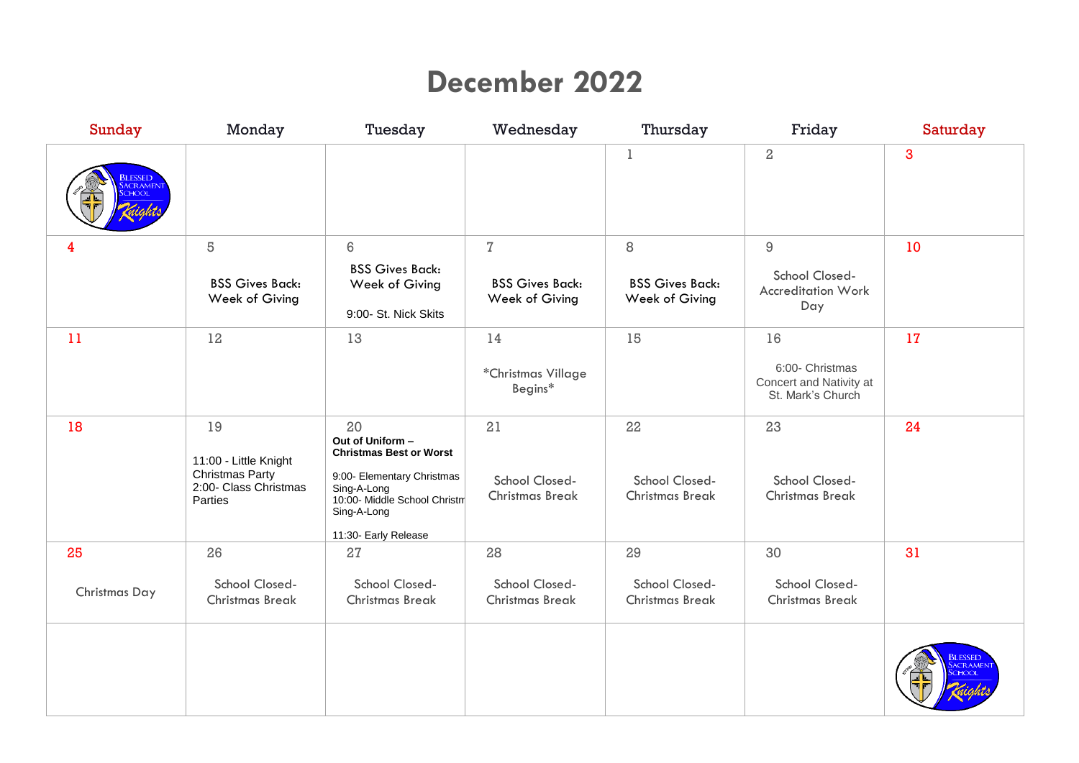# **December 2022**

| Sunday              | Monday                                                                                    | Tuesday                                                                                                                                                                      | Wednesday                                                | Thursday                                            | Friday                                                                | Saturday |
|---------------------|-------------------------------------------------------------------------------------------|------------------------------------------------------------------------------------------------------------------------------------------------------------------------------|----------------------------------------------------------|-----------------------------------------------------|-----------------------------------------------------------------------|----------|
| <b>LESSED</b>       |                                                                                           |                                                                                                                                                                              |                                                          | $\mathbf 1$                                         | $\,2$                                                                 | 3        |
| 4                   | 5<br><b>BSS Gives Back:</b><br>Week of Giving                                             | 6<br><b>BSS Gives Back:</b><br>Week of Giving<br>9:00- St. Nick Skits                                                                                                        | $\mathbf{Z}$<br><b>BSS Gives Back:</b><br>Week of Giving | $\,8\,$<br><b>BSS Gives Back:</b><br>Week of Giving | $\hbox{9}$<br>School Closed-<br><b>Accreditation Work</b><br>Day      | 10       |
| 11                  | 12                                                                                        | 13                                                                                                                                                                           | 14<br>*Christmas Village<br>Begins*                      | 15                                                  | 16<br>6:00- Christmas<br>Concert and Nativity at<br>St. Mark's Church | 17       |
| 18                  | 19<br>11:00 - Little Knight<br><b>Christmas Party</b><br>2:00- Class Christmas<br>Parties | 20<br>Out of Uniform -<br><b>Christmas Best or Worst</b><br>9:00- Elementary Christmas<br>Sing-A-Long<br>10:00- Middle School Christm<br>Sing-A-Long<br>11:30- Early Release | 21<br>School Closed-<br><b>Christmas Break</b>           | 22<br>School Closed-<br><b>Christmas Break</b>      | 23<br>School Closed-<br><b>Christmas Break</b>                        | 24       |
| 25<br>Christmas Day | 26<br>School Closed-<br><b>Christmas Break</b>                                            | 27<br>School Closed-<br><b>Christmas Break</b>                                                                                                                               | 28<br>School Closed-<br><b>Christmas Break</b>           | 29<br>School Closed-<br><b>Christmas Break</b>      | 30<br>School Closed-<br><b>Christmas Break</b>                        | 31       |
|                     |                                                                                           |                                                                                                                                                                              |                                                          |                                                     |                                                                       |          |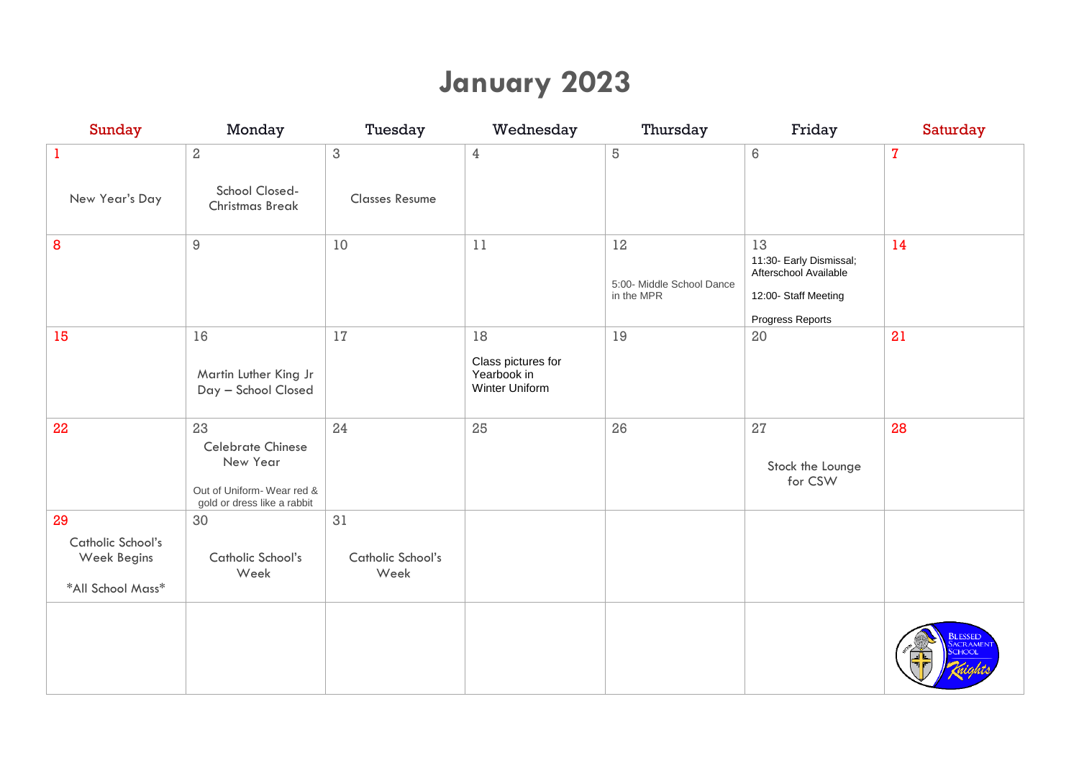## **January 2023**

| <b>Sunday</b>                                               | Monday                                                                                                 | Tuesday                                            | Wednesday                                                 | Thursday                                      | Friday                                                                                             | Saturday                                 |
|-------------------------------------------------------------|--------------------------------------------------------------------------------------------------------|----------------------------------------------------|-----------------------------------------------------------|-----------------------------------------------|----------------------------------------------------------------------------------------------------|------------------------------------------|
| $\mathbf{1}$<br>New Year's Day                              | $\,2$<br>School Closed-<br><b>Christmas Break</b>                                                      | $\ensuremath{\mathsf{3}}$<br><b>Classes Resume</b> | $\overline{4}$                                            | $\,5$                                         | $\,6\,$                                                                                            | $\bf 7$                                  |
| 8                                                           | $\hbox{9}$                                                                                             | 10                                                 | 11                                                        | 12<br>5:00- Middle School Dance<br>in the MPR | 13<br>11:30- Early Dismissal;<br>Afterschool Available<br>12:00- Staff Meeting<br>Progress Reports | 14                                       |
| 15                                                          | 16<br>Martin Luther King Jr<br>Day - School Closed                                                     | 17                                                 | 18<br>Class pictures for<br>Yearbook in<br>Winter Uniform | 19                                            | 20                                                                                                 | 21                                       |
| 22                                                          | 23<br><b>Celebrate Chinese</b><br>New Year<br>Out of Uniform-Wear red &<br>gold or dress like a rabbit | 24                                                 | 25                                                        | 26                                            | 27<br>Stock the Lounge<br>for CSW                                                                  | 28                                       |
| 29<br>Catholic School's<br>Week Begins<br>*All School Mass* | 30<br>Catholic School's<br>Week                                                                        | 31<br>Catholic School's<br>Week                    |                                                           |                                               |                                                                                                    |                                          |
|                                                             |                                                                                                        |                                                    |                                                           |                                               |                                                                                                    | <b>BLESSED</b><br><b>ACRAME</b><br>CHOOL |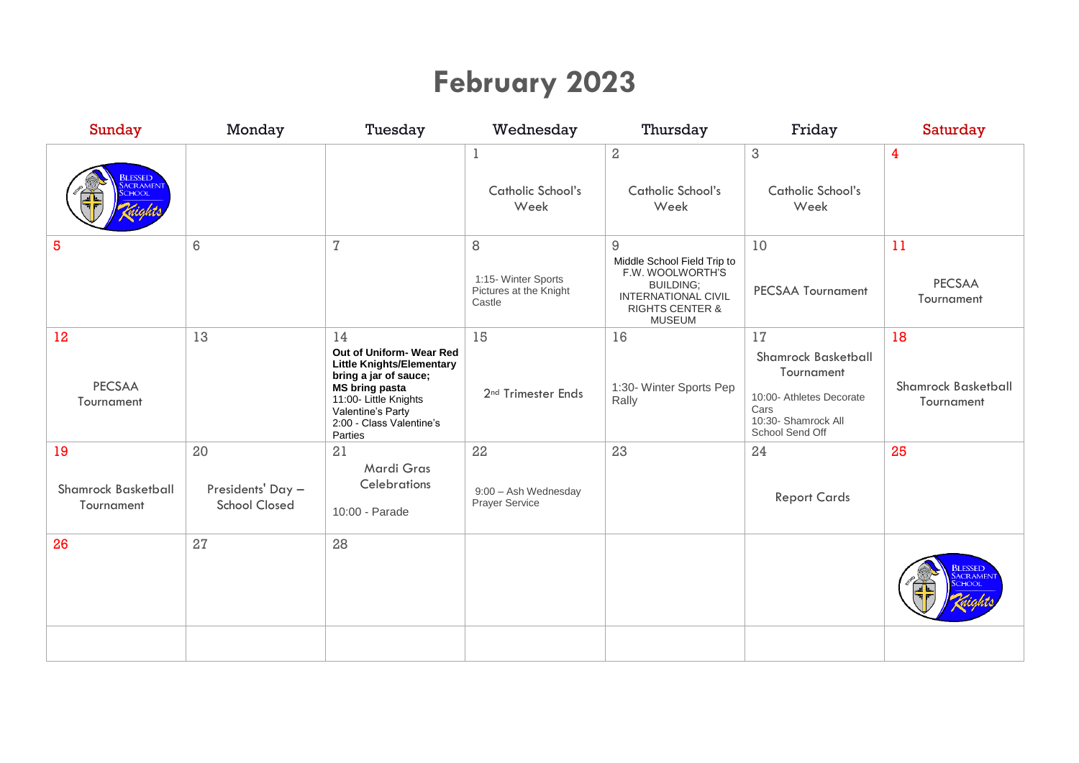# **February 2023**

| <b>Sunday</b>                                  | Monday                                          | Tuesday                                                                                                                                                                                                   | Wednesday                                                    | Thursday                                                                                                                                       | Friday                                                                                                                       | Saturday                                       |
|------------------------------------------------|-------------------------------------------------|-----------------------------------------------------------------------------------------------------------------------------------------------------------------------------------------------------------|--------------------------------------------------------------|------------------------------------------------------------------------------------------------------------------------------------------------|------------------------------------------------------------------------------------------------------------------------------|------------------------------------------------|
| <b>ILESSED</b>                                 |                                                 |                                                                                                                                                                                                           | $\mathbf 1$<br>Catholic School's<br>Week                     | $\overline{2}$<br>Catholic School's<br>Week                                                                                                    | $\sqrt{3}$<br>Catholic School's<br>Week                                                                                      | 4                                              |
| 5                                              | 6                                               | $\overline{\cal I}$                                                                                                                                                                                       | 8<br>1:15- Winter Sports<br>Pictures at the Knight<br>Castle | 9<br>Middle School Field Trip to<br>F.W. WOOLWORTH'S<br><b>BUILDING;</b><br>INTERNATIONAL CIVIL<br><b>RIGHTS CENTER &amp;</b><br><b>MUSEUM</b> | 10<br><b>PECSAA Tournament</b>                                                                                               | 11<br><b>PECSAA</b><br>Tournament              |
| 12<br><b>PECSAA</b><br>Tournament              | 13                                              | 14<br>Out of Uniform- Wear Red<br><b>Little Knights/Elementary</b><br>bring a jar of sauce;<br><b>MS bring pasta</b><br>11:00- Little Knights<br>Valentine's Party<br>2:00 - Class Valentine's<br>Parties | 15<br>2 <sup>nd</sup> Trimester Ends                         | 16<br>1:30- Winter Sports Pep<br>Rally                                                                                                         | 17<br><b>Shamrock Basketball</b><br>Tournament<br>10:00- Athletes Decorate<br>Cars<br>10:30- Shamrock All<br>School Send Off | 18<br><b>Shamrock Basketball</b><br>Tournament |
| 19<br><b>Shamrock Basketball</b><br>Tournament | 20<br>Presidents' Day -<br><b>School Closed</b> | 21<br>Mardi Gras<br>Celebrations<br>10:00 - Parade                                                                                                                                                        | 22<br>9:00 - Ash Wednesday<br>Prayer Service                 | 23                                                                                                                                             | 24<br><b>Report Cards</b>                                                                                                    | 25                                             |
| 26                                             | 27                                              | 28                                                                                                                                                                                                        |                                                              |                                                                                                                                                |                                                                                                                              | <b>BLESSED</b>                                 |
|                                                |                                                 |                                                                                                                                                                                                           |                                                              |                                                                                                                                                |                                                                                                                              |                                                |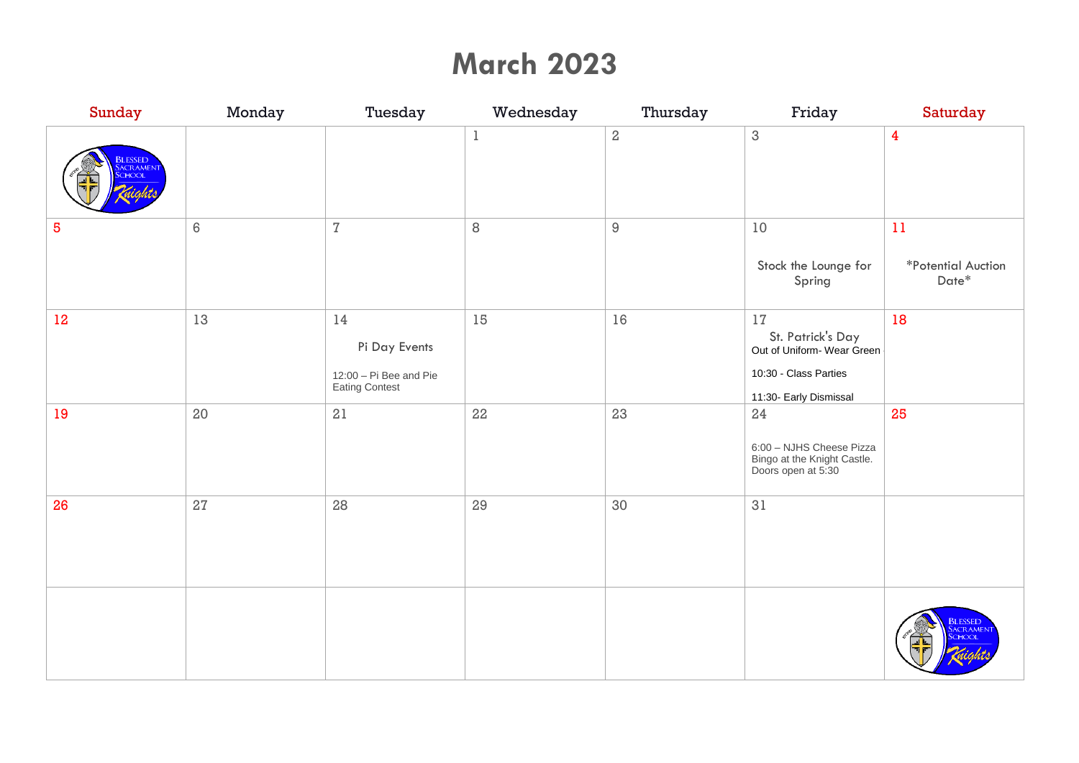### **March 2023**

| Sunday                                           | Monday | Tuesday                                                             | Wednesday | Thursday       | Friday                                                                                                  | Saturday                                      |
|--------------------------------------------------|--------|---------------------------------------------------------------------|-----------|----------------|---------------------------------------------------------------------------------------------------------|-----------------------------------------------|
| <mark>Blessed</mark><br>Sacramen<br><b>CHOOL</b> |        |                                                                     | $\,1\,$   | $\,2$          | $\ensuremath{\mathsf{3}}$                                                                               | $\overline{\mathbf{4}}$                       |
| $\overline{5}$                                   | 6      | $\overline{I}$                                                      | 8         | $\overline{9}$ | 10<br>Stock the Lounge for<br>Spring                                                                    | 11<br>*Potential Auction<br>$\mathsf{Date}^*$ |
| $12 \,$                                          | 13     | $14\,$<br>Pi Day Events<br>12:00 - Pi Bee and Pie<br>Eating Contest | 15        | 16             | 17<br>St. Patrick's Day<br>Out of Uniform-Wear Green<br>10:30 - Class Parties<br>11:30- Early Dismissal | 18                                            |
| 19                                               | $20\,$ | 21                                                                  | 22        | 23             | 24<br>6:00 - NJHS Cheese Pizza<br>Bingo at the Knight Castle.<br>Doors open at 5:30                     | 25                                            |
| 26                                               | $27\,$ | 28                                                                  | 29        | 30             | 31                                                                                                      |                                               |
|                                                  |        |                                                                     |           |                |                                                                                                         | <b>BLESSED</b><br><b>ACRAMEN</b><br>CHOO      |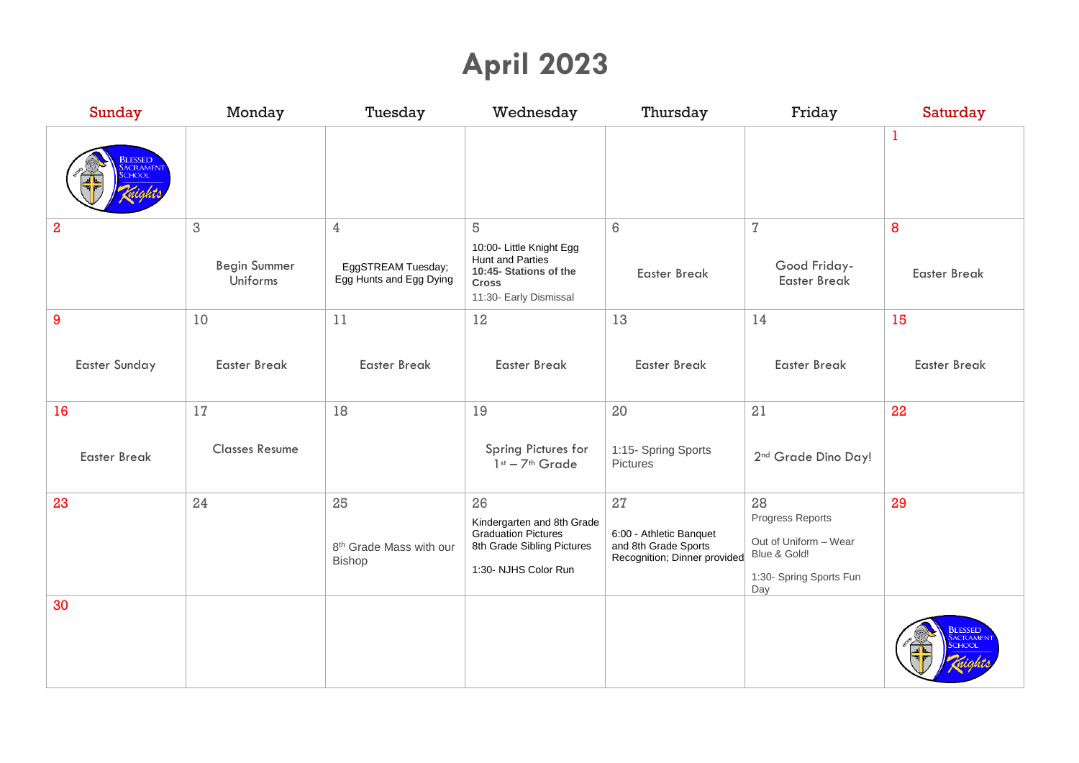# **April 2023**

| <b>Sunday</b>                             | Monday                               | Tuesday                                                         | Wednesday                                                                                                                    | Thursday                                                                        | Friday                                                                                      | Saturday                 |
|-------------------------------------------|--------------------------------------|-----------------------------------------------------------------|------------------------------------------------------------------------------------------------------------------------------|---------------------------------------------------------------------------------|---------------------------------------------------------------------------------------------|--------------------------|
| <b>SLESSED</b><br><b>ACRAMEN</b><br>CHOOL |                                      |                                                                 |                                                                                                                              |                                                                                 |                                                                                             | $\bf{l}$                 |
| $\overline{2}$                            | 3<br><b>Begin Summer</b><br>Uniforms | $\overline{4}$<br>EggSTREAM Tuesday;<br>Egg Hunts and Egg Dying | 5<br>10:00- Little Knight Egg<br><b>Hunt and Parties</b><br>10:45- Stations of the<br><b>Cross</b><br>11:30- Early Dismissal | 6<br><b>Easter Break</b>                                                        | $\sqrt{7}$<br>Good Friday-<br><b>Easter Break</b>                                           | 8<br><b>Easter Break</b> |
| 9                                         | 10                                   | 11                                                              | 12                                                                                                                           | 13                                                                              | 14                                                                                          | 15                       |
| <b>Easter Sunday</b>                      | <b>Easter Break</b>                  | <b>Easter Break</b>                                             | <b>Easter Break</b>                                                                                                          | <b>Easter Break</b>                                                             | <b>Easter Break</b>                                                                         | <b>Easter Break</b>      |
| 16                                        | 17                                   | 18                                                              | 19                                                                                                                           | 20                                                                              | 21                                                                                          | 22                       |
| <b>Easter Break</b>                       | <b>Classes Resume</b>                |                                                                 | Spring Pictures for<br>1st - 7th Grade                                                                                       | 1:15- Spring Sports<br>Pictures                                                 | 2 <sup>nd</sup> Grade Dino Day!                                                             |                          |
| 23                                        | 24                                   | 25                                                              | 26                                                                                                                           | 27                                                                              | 28                                                                                          | 29                       |
|                                           |                                      | 8 <sup>th</sup> Grade Mass with our<br>Bishop                   | Kindergarten and 8th Grade<br><b>Graduation Pictures</b><br>8th Grade Sibling Pictures<br>1:30- NJHS Color Run               | 6:00 - Athletic Banquet<br>and 8th Grade Sports<br>Recognition; Dinner provided | Progress Reports<br>Out of Uniform - Wear<br>Blue & Gold!<br>1:30- Spring Sports Fun<br>Day |                          |
| 30                                        |                                      |                                                                 |                                                                                                                              |                                                                                 |                                                                                             | <b>BLESSED</b>           |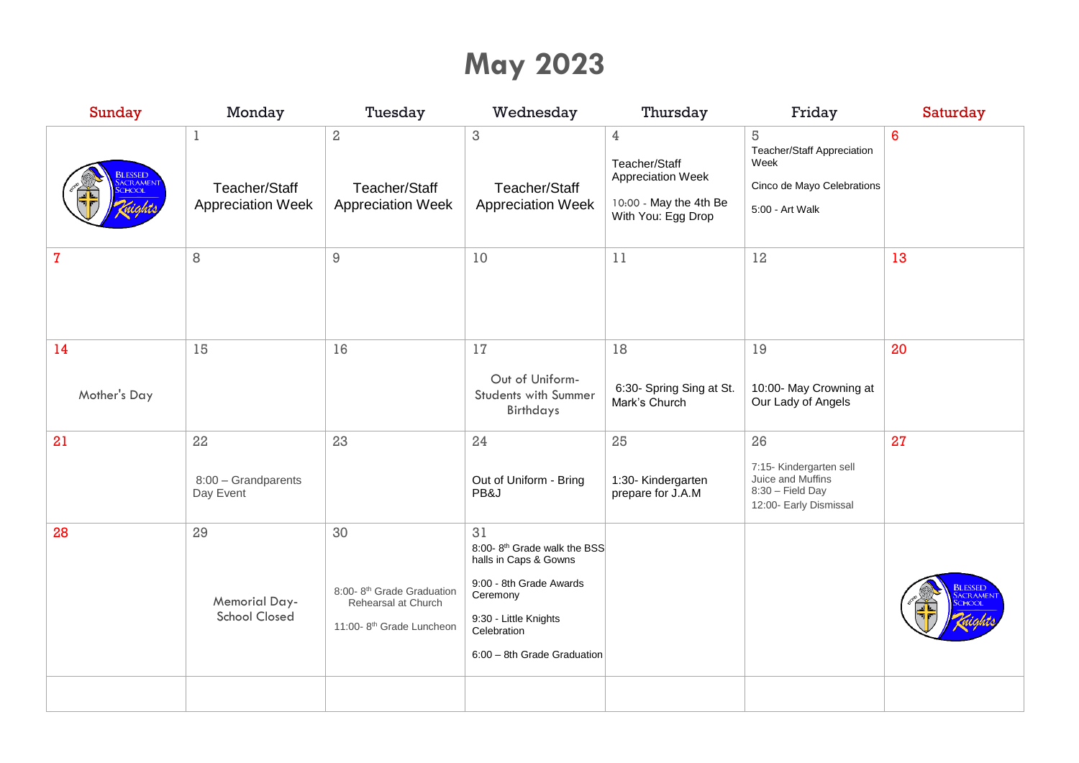# **May 2023**

| Sunday                                          | Monday                                             | Tuesday                                                                                                    | Wednesday                                                                                                                                                                            | Thursday                                                                                | Friday                                                                                                   | Saturday |
|-------------------------------------------------|----------------------------------------------------|------------------------------------------------------------------------------------------------------------|--------------------------------------------------------------------------------------------------------------------------------------------------------------------------------------|-----------------------------------------------------------------------------------------|----------------------------------------------------------------------------------------------------------|----------|
| <b>BLESSED</b><br><b>CRAMEN</b><br><b>CHOOL</b> | 1<br>Teacher/Staff<br><b>Appreciation Week</b>     | $\overline{\mathbf{2}}$<br>Teacher/Staff<br><b>Appreciation Week</b>                                       | $\sqrt{3}$<br>Teacher/Staff<br><b>Appreciation Week</b>                                                                                                                              | 4<br>Teacher/Staff<br>Appreciation Week<br>10:00 - May the 4th Be<br>With You: Egg Drop | $\sqrt{5}$<br><b>Teacher/Staff Appreciation</b><br>Week<br>Cinco de Mayo Celebrations<br>5:00 - Art Walk | 6        |
| $\mathbf{7}$                                    | 8                                                  | $\hbox{9}$                                                                                                 | 10                                                                                                                                                                                   | 11                                                                                      | 12                                                                                                       | 13       |
| 14<br>Mother's Day                              | 15                                                 | 16                                                                                                         | 17<br>Out of Uniform-<br>Students with Summer<br>Birthdays                                                                                                                           | 18<br>6:30- Spring Sing at St.<br>Mark's Church                                         | 19<br>10:00- May Crowning at<br>Our Lady of Angels                                                       | 20       |
| 21                                              | 22<br>8:00 - Grandparents<br>Day Event             | 23                                                                                                         | 24<br>Out of Uniform - Bring<br>PB&J                                                                                                                                                 | 25<br>1:30- Kindergarten<br>prepare for J.A.M                                           | 26<br>7:15- Kindergarten sell<br>Juice and Muffins<br>8:30 - Field Day<br>12:00- Early Dismissal         | 27       |
| 28                                              | 29<br><b>Memorial Day-</b><br><b>School Closed</b> | 30<br>8:00-8 <sup>th</sup> Grade Graduation<br>Rehearsal at Church<br>11:00-8 <sup>th</sup> Grade Luncheon | 31<br>8:00-8 <sup>th</sup> Grade walk the BSS<br>halls in Caps & Gowns<br>9:00 - 8th Grade Awards<br>Ceremony<br>9:30 - Little Knights<br>Celebration<br>6:00 - 8th Grade Graduation |                                                                                         |                                                                                                          |          |
|                                                 |                                                    |                                                                                                            |                                                                                                                                                                                      |                                                                                         |                                                                                                          |          |